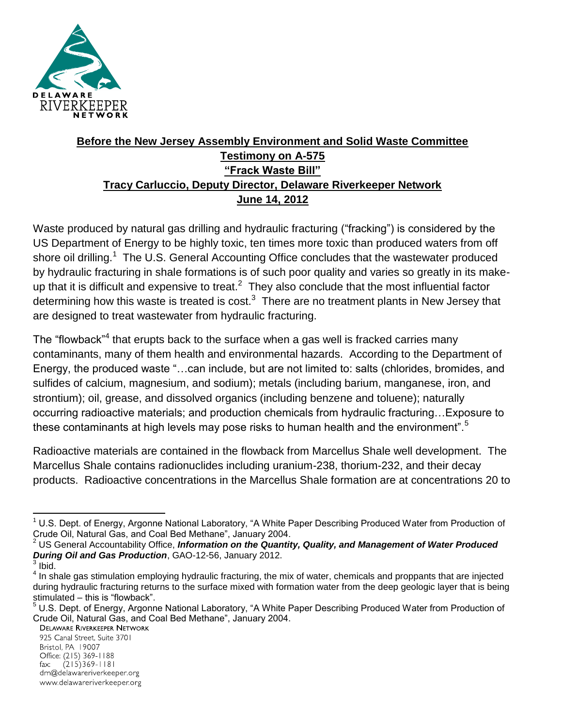

# **Before the New Jersey Assembly Environment and Solid Waste Committee Testimony on A-575 "Frack Waste Bill" Tracy Carluccio, Deputy Director, Delaware Riverkeeper Network June 14, 2012**

Waste produced by natural gas drilling and hydraulic fracturing ("fracking") is considered by the US Department of Energy to be highly toxic, ten times more toxic than produced waters from off shore oil drilling.<sup>1</sup> The U.S. General Accounting Office concludes that the wastewater produced by hydraulic fracturing in shale formations is of such poor quality and varies so greatly in its makeup that it is difficult and expensive to treat.<sup>2</sup> They also conclude that the most influential factor determining how this waste is treated is  $cost.^3$  There are no treatment plants in New Jersey that are designed to treat wastewater from hydraulic fracturing.

The "flowback"<sup>4</sup> that erupts back to the surface when a gas well is fracked carries many contaminants, many of them health and environmental hazards. According to the Department of Energy, the produced waste "…can include, but are not limited to: salts (chlorides, bromides, and sulfides of calcium, magnesium, and sodium); metals (including barium, manganese, iron, and strontium); oil, grease, and dissolved organics (including benzene and toluene); naturally occurring radioactive materials; and production chemicals from hydraulic fracturing…Exposure to these contaminants at high levels may pose risks to human health and the environment".<sup>5</sup>

Radioactive materials are contained in the flowback from Marcellus Shale well development. The Marcellus Shale contains radionuclides including uranium-238, thorium-232, and their decay products. Radioactive concentrations in the Marcellus Shale formation are at concentrations 20 to

925 Canal Street, Suite 3701 Bristol, PA 19007 Office: (215) 369-1188  $(215)369 - 1181$ fax:

drn@delawareriverkeeper.org

www.delawareriverkeeper.org

 $\overline{\phantom{a}}$  $1$  U.S. Dept. of Energy, Argonne National Laboratory, "A White Paper Describing Produced Water from Production of Crude Oil, Natural Gas, and Coal Bed Methane", January 2004.

<sup>2</sup> US General Accountability Office, *Information on the Quantity, Quality, and Management of Water Produced During Oil and Gas Production*, GAO-12-56, January 2012.

 $3$  Ibid.

<sup>&</sup>lt;sup>4</sup> In shale gas stimulation employing hydraulic fracturing, the mix of water, chemicals and proppants that are injected during hydraulic fracturing returns to the surface mixed with formation water from the deep geologic layer that is being stimulated – this is "flowback".

<sup>5</sup> U.S. Dept. of Energy, Argonne National Laboratory, "A White Paper Describing Produced Water from Production of Crude Oil, Natural Gas, and Coal Bed Methane", January 2004.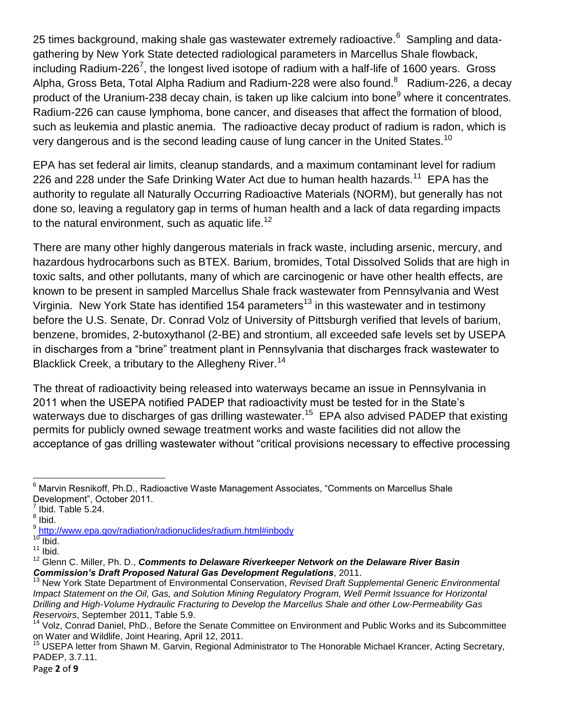25 times background, making shale gas wastewater extremely radioactive. $^6$  Sampling and datagathering by New York State detected radiological parameters in Marcellus Shale flowback, including Radium-226<sup>7</sup>, the longest lived isotope of radium with a half-life of 1600 years. Gross Alpha, Gross Beta, Total Alpha Radium and Radium-228 were also found.<sup>8</sup> Radium-226, a decay product of the Uranium-238 decay chain, is taken up like calcium into bone<sup>9</sup> where it concentrates. Radium-226 can cause lymphoma, bone cancer, and diseases that affect the formation of blood, such as leukemia and plastic anemia. The radioactive decay product of radium is radon, which is very dangerous and is the second leading cause of lung cancer in the United States.<sup>10</sup>

EPA has set federal air limits, cleanup standards, and a maximum contaminant level for radium 226 and 228 under the Safe Drinking Water Act due to human health hazards.<sup>11</sup> EPA has the authority to regulate all Naturally Occurring Radioactive Materials (NORM), but generally has not done so, leaving a regulatory gap in terms of human health and a lack of data regarding impacts to the natural environment, such as aquatic life.<sup>12</sup>

There are many other highly dangerous materials in frack waste, including arsenic, mercury, and hazardous hydrocarbons such as BTEX. Barium, bromides, Total Dissolved Solids that are high in toxic salts, and other pollutants, many of which are carcinogenic or have other health effects, are known to be present in sampled Marcellus Shale frack wastewater from Pennsylvania and West Virginia. New York State has identified 154 parameters<sup>13</sup> in this wastewater and in testimony before the U.S. Senate, Dr. Conrad Volz of University of Pittsburgh verified that levels of barium, benzene, bromides, 2-butoxythanol (2-BE) and strontium, all exceeded safe levels set by USEPA in discharges from a "brine" treatment plant in Pennsylvania that discharges frack wastewater to Blacklick Creek, a tributary to the Allegheny River.<sup>14</sup>

The threat of radioactivity being released into waterways became an issue in Pennsylvania in 2011 when the USEPA notified PADEP that radioactivity must be tested for in the State's waterways due to discharges of gas drilling wastewater.<sup>15</sup>  $E$ PA also advised PADEP that existing permits for publicly owned sewage treatment works and waste facilities did not allow the acceptance of gas drilling wastewater without "critical provisions necessary to effective processing

l  $^6$  Marvin Resnikoff, Ph.D., Radioactive Waste Management Associates, "Comments on Marcellus Shale Development", October 2011.

 $^7$  Ibid. Table 5.24.

<sup>&</sup>lt;sup>8</sup> Ibid.

<sup>&</sup>lt;sup>9</sup> <http://www.epa.gov/radiation/radionuclides/radium.html#inbody>

 $10$  Ibid.

 $11$  Ibid.

<sup>&</sup>lt;sup>12</sup> Glenn C. Miller, Ph. D., *Comments to Delaware Riverkeeper Network on the Delaware River Basin Commission's Draft Proposed Natural Gas Development Regulations*, 2011.

<sup>13</sup> New York State Department of Environmental Conservation, *Revised Draft Supplemental Generic Environmental Impact Statement on the Oil, Gas, and Solution Mining Regulatory Program, Well Permit Issuance for Horizontal Drilling and High-Volume Hydraulic Fracturing to Develop the Marcellus Shale and other Low-Permeability Gas Reservoirs*, September 2011, Table 5.9.

<sup>14</sup> Volz, Conrad Daniel, PhD., Before the Senate Committee on Environment and Public Works and its Subcommittee on Water and Wildlife, Joint Hearing, April 12, 2011.

<sup>&</sup>lt;sup>15</sup> USEPA letter from Shawn M. Garvin, Regional Administrator to The Honorable Michael Krancer, Acting Secretary, PADEP, 3.7.11.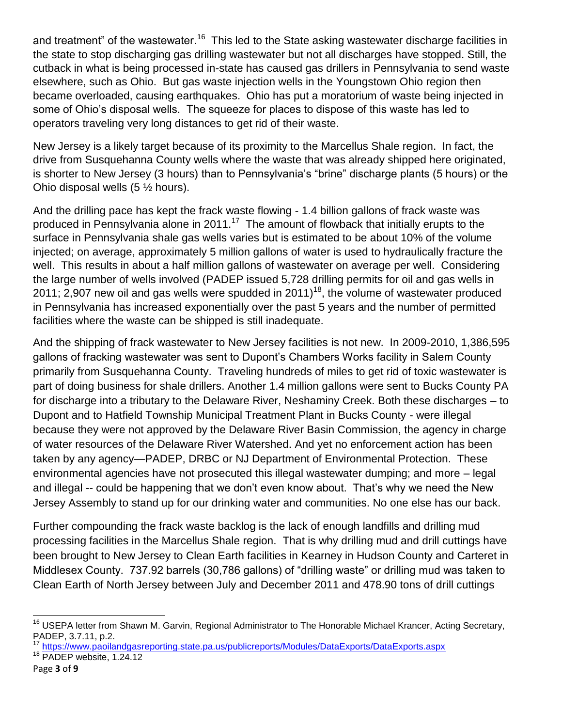and treatment" of the wastewater.<sup>16</sup> This led to the State asking wastewater discharge facilities in the state to stop discharging gas drilling wastewater but not all discharges have stopped. Still, the cutback in what is being processed in-state has caused gas drillers in Pennsylvania to send waste elsewhere, such as Ohio. But gas waste injection wells in the Youngstown Ohio region then became overloaded, causing earthquakes. Ohio has put a moratorium of waste being injected in some of Ohio's disposal wells. The squeeze for places to dispose of this waste has led to operators traveling very long distances to get rid of their waste.

New Jersey is a likely target because of its proximity to the Marcellus Shale region. In fact, the drive from Susquehanna County wells where the waste that was already shipped here originated, is shorter to New Jersey (3 hours) than to Pennsylvania's "brine" discharge plants (5 hours) or the Ohio disposal wells (5 ½ hours).

And the drilling pace has kept the frack waste flowing - 1.4 billion gallons of frack waste was produced in Pennsylvania alone in 2011.<sup>17</sup> The amount of flowback that initially erupts to the surface in Pennsylvania shale gas wells varies but is estimated to be about 10% of the volume injected; on average, approximately 5 million gallons of water is used to hydraulically fracture the well. This results in about a half million gallons of wastewater on average per well. Considering the large number of wells involved (PADEP issued 5,728 drilling permits for oil and gas wells in 2011; 2,907 new oil and gas wells were spudded in 2011)<sup>18</sup>, the volume of wastewater produced in Pennsylvania has increased exponentially over the past 5 years and the number of permitted facilities where the waste can be shipped is still inadequate.

And the shipping of frack wastewater to New Jersey facilities is not new. In 2009-2010, 1,386,595 gallons of fracking wastewater was sent to Dupont's Chambers Works facility in Salem County primarily from Susquehanna County. Traveling hundreds of miles to get rid of toxic wastewater is part of doing business for shale drillers. Another 1.4 million gallons were sent to Bucks County PA for discharge into a tributary to the Delaware River, Neshaminy Creek. Both these discharges – to Dupont and to Hatfield Township Municipal Treatment Plant in Bucks County - were illegal because they were not approved by the Delaware River Basin Commission, the agency in charge of water resources of the Delaware River Watershed. And yet no enforcement action has been taken by any agency—PADEP, DRBC or NJ Department of Environmental Protection. These environmental agencies have not prosecuted this illegal wastewater dumping; and more – legal and illegal -- could be happening that we don't even know about. That's why we need the New Jersey Assembly to stand up for our drinking water and communities. No one else has our back.

Further compounding the frack waste backlog is the lack of enough landfills and drilling mud processing facilities in the Marcellus Shale region. That is why drilling mud and drill cuttings have been brought to New Jersey to Clean Earth facilities in Kearney in Hudson County and Carteret in Middlesex County. 737.92 barrels (30,786 gallons) of "drilling waste" or drilling mud was taken to Clean Earth of North Jersey between July and December 2011 and 478.90 tons of drill cuttings

- <sup>17</sup> <https://www.paoilandgasreporting.state.pa.us/publicreports/Modules/DataExports/DataExports.aspx>
- <sup>18</sup> PADEP website, 1.24.12
- Page **3** of **9**

 $\overline{a}$ 

<sup>&</sup>lt;sup>16</sup> USEPA letter from Shawn M. Garvin, Regional Administrator to The Honorable Michael Krancer, Acting Secretary, PADEP, 3.7.11, p.2.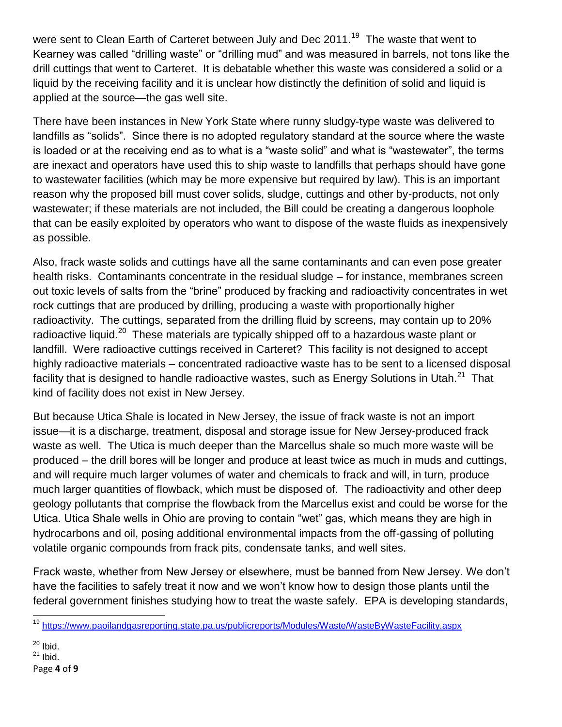were sent to Clean Earth of Carteret between July and Dec 2011.<sup>19</sup> The waste that went to Kearney was called "drilling waste" or "drilling mud" and was measured in barrels, not tons like the drill cuttings that went to Carteret. It is debatable whether this waste was considered a solid or a liquid by the receiving facility and it is unclear how distinctly the definition of solid and liquid is applied at the source—the gas well site.

There have been instances in New York State where runny sludgy-type waste was delivered to landfills as "solids". Since there is no adopted regulatory standard at the source where the waste is loaded or at the receiving end as to what is a "waste solid" and what is "wastewater", the terms are inexact and operators have used this to ship waste to landfills that perhaps should have gone to wastewater facilities (which may be more expensive but required by law). This is an important reason why the proposed bill must cover solids, sludge, cuttings and other by-products, not only wastewater; if these materials are not included, the Bill could be creating a dangerous loophole that can be easily exploited by operators who want to dispose of the waste fluids as inexpensively as possible.

Also, frack waste solids and cuttings have all the same contaminants and can even pose greater health risks. Contaminants concentrate in the residual sludge – for instance, membranes screen out toxic levels of salts from the "brine" produced by fracking and radioactivity concentrates in wet rock cuttings that are produced by drilling, producing a waste with proportionally higher radioactivity. The cuttings, separated from the drilling fluid by screens, may contain up to 20% radioactive liquid.<sup>20</sup> These materials are typically shipped off to a hazardous waste plant or landfill. Were radioactive cuttings received in Carteret? This facility is not designed to accept highly radioactive materials – concentrated radioactive waste has to be sent to a licensed disposal facility that is designed to handle radioactive wastes, such as Energy Solutions in Utah. $^{21}\,$  That kind of facility does not exist in New Jersey.

But because Utica Shale is located in New Jersey, the issue of frack waste is not an import issue—it is a discharge, treatment, disposal and storage issue for New Jersey-produced frack waste as well. The Utica is much deeper than the Marcellus shale so much more waste will be produced – the drill bores will be longer and produce at least twice as much in muds and cuttings, and will require much larger volumes of water and chemicals to frack and will, in turn, produce much larger quantities of flowback, which must be disposed of. The radioactivity and other deep geology pollutants that comprise the flowback from the Marcellus exist and could be worse for the Utica. Utica Shale wells in Ohio are proving to contain "wet" gas, which means they are high in hydrocarbons and oil, posing additional environmental impacts from the off-gassing of polluting volatile organic compounds from frack pits, condensate tanks, and well sites.

Frack waste, whether from New Jersey or elsewhere, must be banned from New Jersey. We don't have the facilities to safely treat it now and we won't know how to design those plants until the federal government finishes studying how to treat the waste safely. EPA is developing standards,

 $20$  Ibid.  $21$  Ibid.

 $\overline{a}$ <sup>19</sup> <https://www.paoilandgasreporting.state.pa.us/publicreports/Modules/Waste/WasteByWasteFacility.aspx>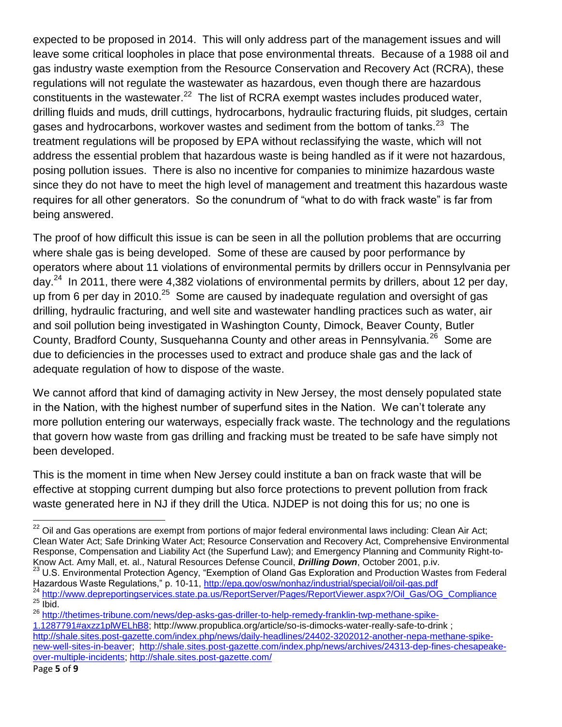expected to be proposed in 2014. This will only address part of the management issues and will leave some critical loopholes in place that pose environmental threats. Because of a 1988 oil and gas industry waste exemption from the Resource Conservation and Recovery Act (RCRA), these regulations will not regulate the wastewater as hazardous, even though there are hazardous constituents in the wastewater. $^{22}$  The list of RCRA exempt wastes includes produced water, drilling fluids and muds, drill cuttings, hydrocarbons, hydraulic fracturing fluids, pit sludges, certain gases and hydrocarbons, workover wastes and sediment from the bottom of tanks.<sup>23</sup> The treatment regulations will be proposed by EPA without reclassifying the waste, which will not address the essential problem that hazardous waste is being handled as if it were not hazardous, posing pollution issues. There is also no incentive for companies to minimize hazardous waste since they do not have to meet the high level of management and treatment this hazardous waste requires for all other generators. So the conundrum of "what to do with frack waste" is far from being answered.

The proof of how difficult this issue is can be seen in all the pollution problems that are occurring where shale gas is being developed. Some of these are caused by poor performance by operators where about 11 violations of environmental permits by drillers occur in Pennsylvania per day.<sup>24</sup> In 2011, there were 4,382 violations of environmental permits by drillers, about 12 per day, up from 6 per day in 2010.<sup>25</sup> Some are caused by inadequate regulation and oversight of gas drilling, hydraulic fracturing, and well site and wastewater handling practices such as water, air and soil pollution being investigated in Washington County, Dimock, Beaver County, Butler County, Bradford County, Susquehanna County and other areas in Pennsylvania.<sup>26</sup> Some are due to deficiencies in the processes used to extract and produce shale gas and the lack of adequate regulation of how to dispose of the waste.

We cannot afford that kind of damaging activity in New Jersey, the most densely populated state in the Nation, with the highest number of superfund sites in the Nation. We can't tolerate any more pollution entering our waterways, especially frack waste. The technology and the regulations that govern how waste from gas drilling and fracking must be treated to be safe have simply not been developed.

This is the moment in time when New Jersey could institute a ban on frack waste that will be effective at stopping current dumping but also force protections to prevent pollution from frack waste generated here in NJ if they drill the Utica. NJDEP is not doing this for us; no one is

 $\overline{\phantom{a}}$  $^{22}$  Oil and Gas operations are exempt from portions of major federal environmental laws including: Clean Air Act; Clean Water Act; Safe Drinking Water Act; Resource Conservation and Recovery Act, Comprehensive Environmental Response, Compensation and Liability Act (the Superfund Law); and Emergency Planning and Community Right-to-Know Act. Amy Mall, et. al., Natural Resources Defense Council, *Drilling Down*, October 2001, p.iv. <sup>23</sup> U.S. Environmental Protection Agency, "Exemption of Oland Gas Exploration and Production Wastes from Federal Hazardous Waste Regulations," p. 10-11,<http://epa.gov/osw/nonhaz/industrial/special/oil/oil-gas.pdf> <sup>24</sup> [http://www.depreportingservices.state.pa.us/ReportServer/Pages/ReportViewer.aspx?/Oil\\_Gas/OG\\_Compliance](http://www.depreportingservices.state.pa.us/ReportServer/Pages/ReportViewer.aspx?/Oil_Gas/OG_Compliance)  $25$  Ibid.

<sup>26</sup> [http://thetimes-tribune.com/news/dep-asks-gas-driller-to-help-remedy-franklin-twp-methane-spike-](http://thetimes-tribune.com/news/dep-asks-gas-driller-to-help-remedy-franklin-twp-methane-spike-1.1287791#axzz1plWELhB8)

[<sup>1.1287791#</sup>axzz1plWELhB8;](http://thetimes-tribune.com/news/dep-asks-gas-driller-to-help-remedy-franklin-twp-methane-spike-1.1287791#axzz1plWELhB8) http://www.propublica.org/article/so-is-dimocks-water-really-safe-to-drink ; [http://shale.sites.post-gazette.com/index.php/news/daily-headlines/24402-3202012-another-nepa-methane-spike](http://shale.sites.post-gazette.com/index.php/news/daily-headlines/24402-3202012-another-nepa-methane-spike-new-well-sites-in-beaver)[new-well-sites-in-beaver;](http://shale.sites.post-gazette.com/index.php/news/daily-headlines/24402-3202012-another-nepa-methane-spike-new-well-sites-in-beaver) [http://shale.sites.post-gazette.com/index.php/news/archives/24313-dep-fines-chesapeake](http://shale.sites.post-gazette.com/index.php/news/archives/24313-dep-fines-chesapeake-over-multiple-incidents)[over-multiple-incidents;](http://shale.sites.post-gazette.com/index.php/news/archives/24313-dep-fines-chesapeake-over-multiple-incidents)<http://shale.sites.post-gazette.com/>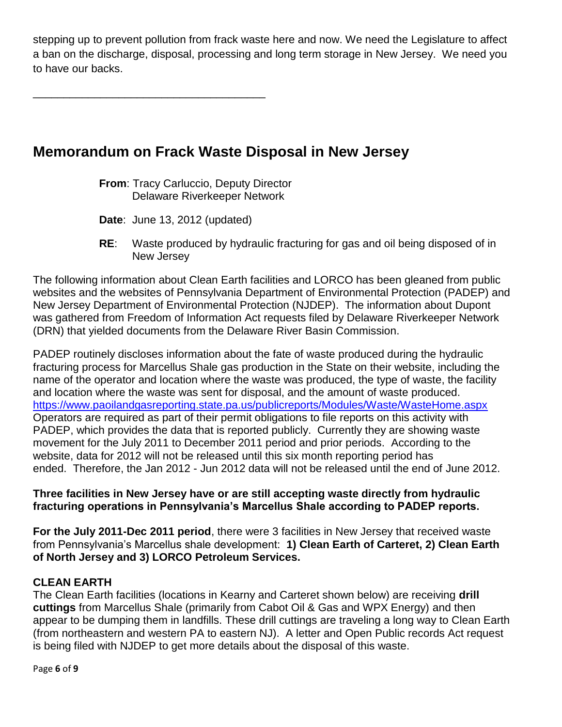stepping up to prevent pollution from frack waste here and now. We need the Legislature to affect a ban on the discharge, disposal, processing and long term storage in New Jersey. We need you to have our backs.

\_\_\_\_\_\_\_\_\_\_\_\_\_\_\_\_\_\_\_\_\_\_\_\_\_\_\_\_\_\_\_\_\_\_\_\_\_\_

# **Memorandum on Frack Waste Disposal in New Jersey**

**From**: Tracy Carluccio, Deputy Director Delaware Riverkeeper Network

**Date**: June 13, 2012 (updated)

**RE**: Waste produced by hydraulic fracturing for gas and oil being disposed of in New Jersey

The following information about Clean Earth facilities and LORCO has been gleaned from public websites and the websites of Pennsylvania Department of Environmental Protection (PADEP) and New Jersey Department of Environmental Protection (NJDEP). The information about Dupont was gathered from Freedom of Information Act requests filed by Delaware Riverkeeper Network (DRN) that yielded documents from the Delaware River Basin Commission.

PADEP routinely discloses information about the fate of waste produced during the hydraulic fracturing process for Marcellus Shale gas production in the State on their website, including the name of the operator and location where the waste was produced, the type of waste, the facility and location where the waste was sent for disposal, and the amount of waste produced. <https://www.paoilandgasreporting.state.pa.us/publicreports/Modules/Waste/WasteHome.aspx> Operators are required as part of their permit obligations to file reports on this activity with PADEP, which provides the data that is reported publicly. Currently they are showing waste movement for the July 2011 to December 2011 period and prior periods. According to the website, data for 2012 will not be released until this six month reporting period has ended. Therefore, the Jan 2012 - Jun 2012 data will not be released until the end of June 2012.

#### **Three facilities in New Jersey have or are still accepting waste directly from hydraulic fracturing operations in Pennsylvania's Marcellus Shale according to PADEP reports.**

**For the July 2011-Dec 2011 period**, there were 3 facilities in New Jersey that received waste from Pennsylvania's Marcellus shale development: **1) Clean Earth of Carteret, 2) Clean Earth of North Jersey and 3) LORCO Petroleum Services.**

## **CLEAN EARTH**

The Clean Earth facilities (locations in Kearny and Carteret shown below) are receiving **drill cuttings** from Marcellus Shale (primarily from Cabot Oil & Gas and WPX Energy) and then appear to be dumping them in landfills. These drill cuttings are traveling a long way to Clean Earth (from northeastern and western PA to eastern NJ). A letter and Open Public records Act request is being filed with NJDEP to get more details about the disposal of this waste.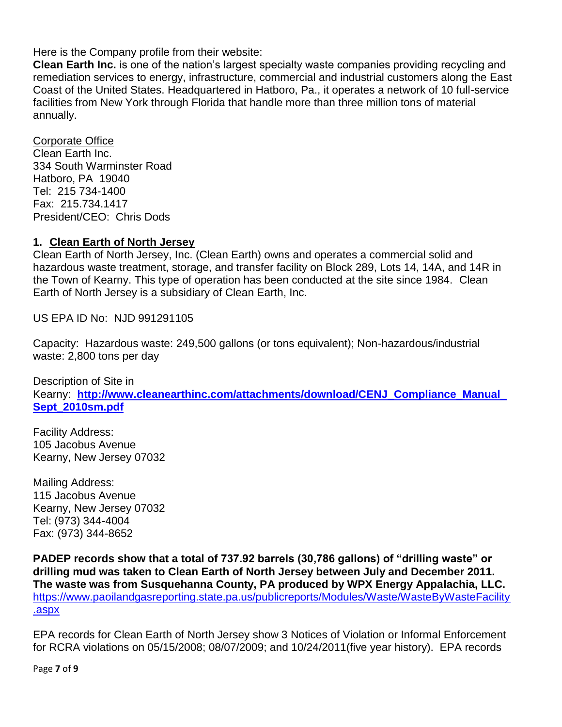Here is the Company profile from their website:

**Clean Earth Inc.** is one of the nation's largest specialty waste companies providing recycling and remediation services to energy, infrastructure, commercial and industrial customers along the East Coast of the United States. Headquartered in Hatboro, Pa., it operates a network of 10 full-service facilities from New York through Florida that handle more than three million tons of material annually.

#### Corporate Office

Clean Earth Inc. 334 South Warminster Road Hatboro, PA 19040 Tel: 215 734-1400 Fax: 215.734.1417 President/CEO: Chris Dods

#### **1. Clean Earth of North Jersey**

Clean Earth of North Jersey, Inc. (Clean Earth) owns and operates a commercial solid and hazardous waste treatment, storage, and transfer facility on Block 289, Lots 14, 14A, and 14R in the Town of Kearny. This type of operation has been conducted at the site since 1984. Clean Earth of North Jersey is a subsidiary of Clean Earth, Inc.

US EPA ID No: NJD 991291105

Capacity: Hazardous waste: 249,500 gallons (or tons equivalent); Non-hazardous/industrial waste: 2,800 tons per day

Description of Site in Kearny: **[http://www.cleanearthinc.com/attachments/download/CENJ\\_Compliance\\_Manual\\_](http://www.cleanearthinc.com/attachments/download/CENJ_Compliance_Manual_Sept_2010sm.pdf) [Sept\\_2010sm.pdf](http://www.cleanearthinc.com/attachments/download/CENJ_Compliance_Manual_Sept_2010sm.pdf)**

Facility Address: 105 Jacobus Avenue Kearny, New Jersey 07032

Mailing Address: 115 Jacobus Avenue Kearny, New Jersey 07032 Tel: (973) 344-4004 Fax: (973) 344-8652

**PADEP records show that a total of 737.92 barrels (30,786 gallons) of "drilling waste" or drilling mud was taken to Clean Earth of North Jersey between July and December 2011. The waste was from Susquehanna County, PA produced by WPX Energy Appalachia, LLC.** [https://www.paoilandgasreporting.state.pa.us/publicreports/Modules/Waste/WasteByWasteFacility](https://www.paoilandgasreporting.state.pa.us/publicreports/Modules/Waste/WasteByWasteFacility.aspx) [.aspx](https://www.paoilandgasreporting.state.pa.us/publicreports/Modules/Waste/WasteByWasteFacility.aspx)

EPA records for Clean Earth of North Jersey show 3 Notices of Violation or Informal Enforcement for RCRA violations on 05/15/2008; 08/07/2009; and 10/24/2011(five year history). EPA records

Page **7** of **9**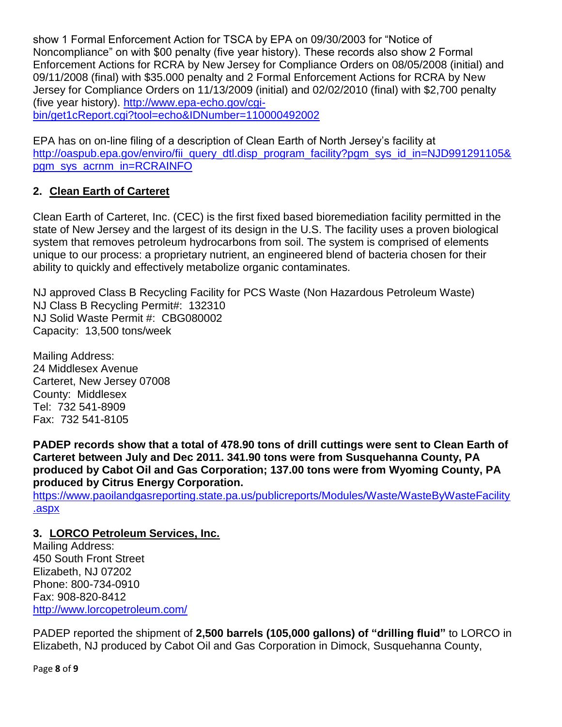show 1 Formal Enforcement Action for TSCA by EPA on 09/30/2003 for "Notice of Noncompliance" on with \$00 penalty (five year history). These records also show 2 Formal Enforcement Actions for RCRA by New Jersey for Compliance Orders on 08/05/2008 (initial) and 09/11/2008 (final) with \$35.000 penalty and 2 Formal Enforcement Actions for RCRA by New Jersey for Compliance Orders on 11/13/2009 (initial) and 02/02/2010 (final) with \$2,700 penalty (five year history). [http://www.epa-echo.gov/cgi](http://www.epa-echo.gov/cgi-bin/get1cReport.cgi?tool=echo&IDNumber=110000492002)[bin/get1cReport.cgi?tool=echo&IDNumber=110000492002](http://www.epa-echo.gov/cgi-bin/get1cReport.cgi?tool=echo&IDNumber=110000492002)

EPA has on on-line filing of a description of Clean Earth of North Jersey's facility at [http://oaspub.epa.gov/enviro/fii\\_query\\_dtl.disp\\_program\\_facility?pgm\\_sys\\_id\\_in=NJD991291105&](http://oaspub.epa.gov/enviro/fii_query_dtl.disp_program_facility?pgm_sys_id_in=NJD991291105&pgm_sys_acrnm_in=RCRAINFO) [pgm\\_sys\\_acrnm\\_in=RCRAINFO](http://oaspub.epa.gov/enviro/fii_query_dtl.disp_program_facility?pgm_sys_id_in=NJD991291105&pgm_sys_acrnm_in=RCRAINFO)

## **2. Clean Earth of Carteret**

Clean Earth of Carteret, Inc. (CEC) is the first fixed based bioremediation facility permitted in the state of New Jersey and the largest of its design in the U.S. The facility uses a proven biological system that removes petroleum hydrocarbons from soil. The system is comprised of elements unique to our process: a proprietary nutrient, an engineered blend of bacteria chosen for their ability to quickly and effectively metabolize organic contaminates.

NJ approved Class B Recycling Facility for PCS Waste (Non Hazardous Petroleum Waste) NJ Class B Recycling Permit#: 132310 NJ Solid Waste Permit #: CBG080002 Capacity: 13,500 tons/week

Mailing Address: 24 Middlesex Avenue Carteret, New Jersey 07008 County: Middlesex Tel: 732 541-8909 Fax: 732 541-8105

**PADEP records show that a total of 478.90 tons of drill cuttings were sent to Clean Earth of Carteret between July and Dec 2011. 341.90 tons were from Susquehanna County, PA produced by Cabot Oil and Gas Corporation; 137.00 tons were from Wyoming County, PA produced by Citrus Energy Corporation.**

[https://www.paoilandgasreporting.state.pa.us/publicreports/Modules/Waste/WasteByWasteFacility](https://www.paoilandgasreporting.state.pa.us/publicreports/Modules/Waste/WasteByWasteFacility.aspx) [.aspx](https://www.paoilandgasreporting.state.pa.us/publicreports/Modules/Waste/WasteByWasteFacility.aspx)

# **3. LORCO Petroleum Services, Inc.**

Mailing Address: 450 South Front Street Elizabeth, NJ 07202 Phone: 800-734-0910 Fax: 908-820-8412 <http://www.lorcopetroleum.com/>

PADEP reported the shipment of **2,500 barrels (105,000 gallons) of "drilling fluid"** to LORCO in Elizabeth, NJ produced by Cabot Oil and Gas Corporation in Dimock, Susquehanna County,